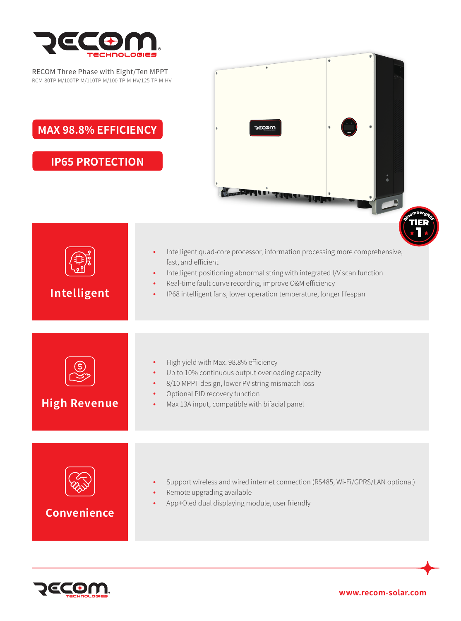

| <b>TECHNOLOGIES</b><br>RECOM Three Phase with Eight/Ten MPPT<br>RCM-80TP-M/100TP-M/110TP-M/100-TP-M-HV/125-TP-M-HV<br><b>MAX 98.8% EFFICIENCY</b> | <b>JECOW</b>                                                                                                                                                                                                                                                              |
|---------------------------------------------------------------------------------------------------------------------------------------------------|---------------------------------------------------------------------------------------------------------------------------------------------------------------------------------------------------------------------------------------------------------------------------|
| <b>IP65 PROTECTION</b>                                                                                                                            | Intelligent quad-core processor, information processing more comprehensive,                                                                                                                                                                                               |
| Intelligent                                                                                                                                       | fast, and efficient<br>Intelligent positioning abnormal string with integrated I/V scan function<br>$\bullet$<br>Real-time fault curve recording, improve O&M efficiency<br>$\bullet$<br>IP68 intelligent fans, lower operation temperature, longer lifespan<br>$\bullet$ |
| <b>High Revenue</b>                                                                                                                               | High yield with Max. 98.8% efficiency<br>Up to 10% continuous output overloading capacity<br>8/10 MPPT design, lower PV string mismatch loss<br>Optional PID recovery function<br>Max 13A input, compatible with bifacial panel                                           |
| <b>Convenience</b>                                                                                                                                | Support wireless and wired internet connection (RS485, Wi-Fi/GPRS/LAN optional)<br>$\bullet$<br>Remote upgrading available<br>App+Oled dual displaying module, user friendly                                                                                              |



**www.recom-solar.com**